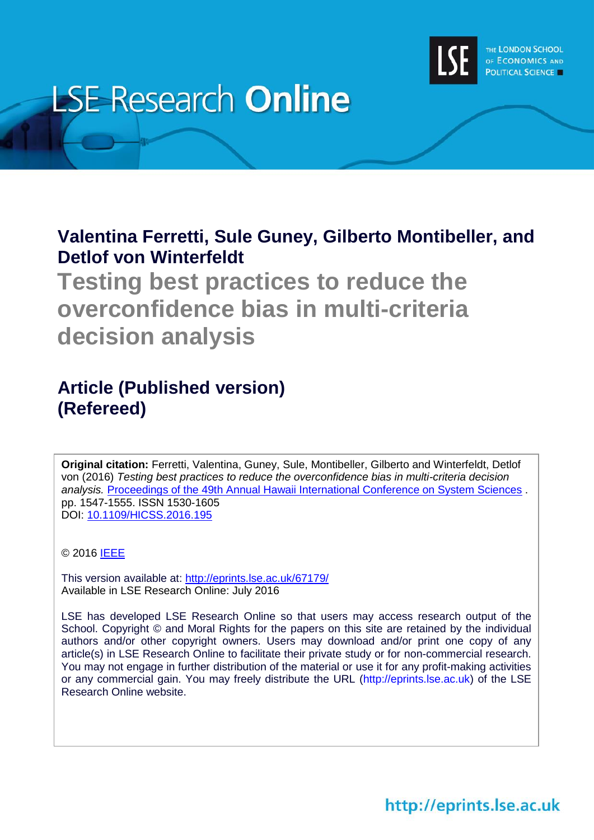

# **LSE Research Online**

# **Valentina Ferretti, Sule Guney, Gilberto Montibeller, and Detlof von Winterfeldt**

**Testing best practices to reduce the overconfidence bias in multi-criteria decision analysis**

# **Article (Published version) (Refereed)**

**Original citation:** Ferretti, Valentina, Guney, Sule, Montibeller, Gilberto and Winterfeldt, Detlof von (2016) *Testing best practices to reduce the overconfidence bias in multi-criteria decision analysis.* [Proceedings of the 49th Annual Hawaii International Conference on System Sciences](http://ieeexplore.ieee.org/xpl/mostRecentIssue.jsp?punumber=7426593) . pp. 1547-1555. ISSN 1530-1605 DOI: [10.1109/HICSS.2016.195](http://dx.doi.org/10.1109/HICSS.2016.195)

© 2016 [IEEE](http://ieeexplore.ieee.org/Xplore/home.jsp)

This version available at:<http://eprints.lse.ac.uk/67179/> Available in LSE Research Online: July 2016

LSE has developed LSE Research Online so that users may access research output of the School. Copyright © and Moral Rights for the papers on this site are retained by the individual authors and/or other copyright owners. Users may download and/or print one copy of any article(s) in LSE Research Online to facilitate their private study or for non-commercial research. You may not engage in further distribution of the material or use it for any profit-making activities or any commercial gain. You may freely distribute the URL (http://eprints.lse.ac.uk) of the LSE Research Online website.

http://eprints.lse.ac.uk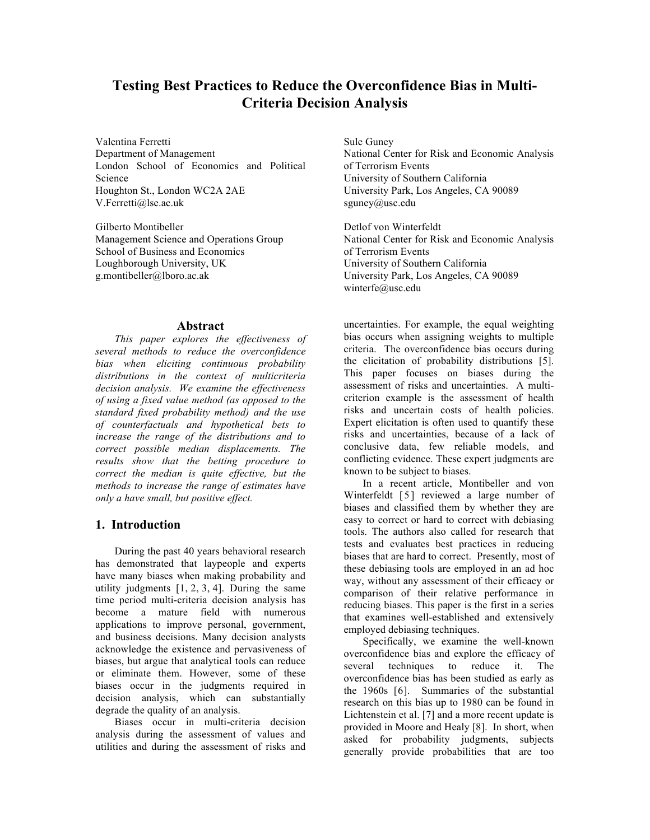# **Testing Best Practices to Reduce the Overconfidence Bias in Multi-Criteria Decision Analysis**

Valentina Ferretti Department of Management London School of Economics and Political Science Houghton St., London WC2A 2AE V.Ferretti@lse.ac.uk

Gilberto Montibeller Management Science and Operations Group School of Business and Economics Loughborough University, UK g.montibeller@lboro.ac.ak

#### **Abstract**

*This paper explores the effectiveness of several methods to reduce the overconfidence bias when eliciting continuous probability distributions in the context of multicriteria decision analysis. We examine the effectiveness of using a fixed value method (as opposed to the standard fixed probability method) and the use of counterfactuals and hypothetical bets to increase the range of the distributions and to correct possible median displacements. The results show that the betting procedure to correct the median is quite effective, but the methods to increase the range of estimates have only a have small, but positive effect.* 

#### **1. Introduction**

During the past 40 years behavioral research has demonstrated that laypeople and experts have many biases when making probability and utility judgments  $[1, 2, 3, 4]$ . During the same time period multi-criteria decision analysis has become a mature field with numerous applications to improve personal, government, and business decisions. Many decision analysts acknowledge the existence and pervasiveness of biases, but argue that analytical tools can reduce or eliminate them. However, some of these biases occur in the judgments required in decision analysis, which can substantially degrade the quality of an analysis.

Biases occur in multi-criteria decision analysis during the assessment of values and utilities and during the assessment of risks and Sule Guney National Center for Risk and Economic Analysis of Terrorism Events University of Southern California University Park, Los Angeles, CA 90089 sguney@usc.edu

Detlof von Winterfeldt National Center for Risk and Economic Analysis of Terrorism Events University of Southern California University Park, Los Angeles, CA 90089 winterfe@usc.edu

uncertainties. For example, the equal weighting bias occurs when assigning weights to multiple criteria. The overconfidence bias occurs during the elicitation of probability distributions [5]. This paper focuses on biases during the assessment of risks and uncertainties. A multicriterion example is the assessment of health risks and uncertain costs of health policies. Expert elicitation is often used to quantify these risks and uncertainties, because of a lack of conclusive data, few reliable models, and conflicting evidence. These expert judgments are known to be subject to biases.

In a recent article, Montibeller and von Winterfeldt [5] reviewed a large number of biases and classified them by whether they are easy to correct or hard to correct with debiasing tools. The authors also called for research that tests and evaluates best practices in reducing biases that are hard to correct. Presently, most of these debiasing tools are employed in an ad hoc way, without any assessment of their efficacy or comparison of their relative performance in reducing biases. This paper is the first in a series that examines well-established and extensively employed debiasing techniques.

Specifically, we examine the well-known overconfidence bias and explore the efficacy of several techniques to reduce it. The overconfidence bias has been studied as early as the 1960s [6]. Summaries of the substantial research on this bias up to 1980 can be found in Lichtenstein et al. [7] and a more recent update is provided in Moore and Healy [8]. In short, when asked for probability judgments, subjects generally provide probabilities that are too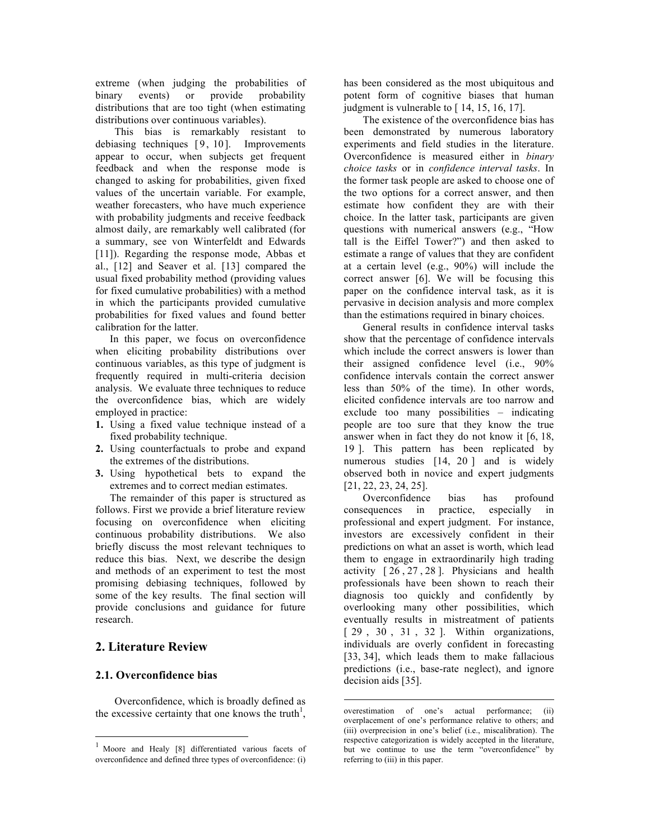extreme (when judging the probabilities of binary events) or provide probability distributions that are too tight (when estimating distributions over continuous variables).

This bias is remarkably resistant to debiasing techniques [9, 10]. Improvements appear to occur, when subjects get frequent feedback and when the response mode is changed to asking for probabilities, given fixed values of the uncertain variable. For example, weather forecasters, who have much experience with probability judgments and receive feedback almost daily, are remarkably well calibrated (for a summary, see von Winterfeldt and Edwards [11]). Regarding the response mode, Abbas et al., [12] and Seaver et al. [13] compared the usual fixed probability method (providing values for fixed cumulative probabilities) with a method in which the participants provided cumulative probabilities for fixed values and found better calibration for the latter.

In this paper, we focus on overconfidence when eliciting probability distributions over continuous variables, as this type of judgment is frequently required in multi-criteria decision analysis. We evaluate three techniques to reduce the overconfidence bias, which are widely employed in practice:

- **1.** Using a fixed value technique instead of a fixed probability technique.
- **2.** Using counterfactuals to probe and expand the extremes of the distributions.
- **3.** Using hypothetical bets to expand the extremes and to correct median estimates.

The remainder of this paper is structured as follows. First we provide a brief literature review focusing on overconfidence when eliciting continuous probability distributions. We also briefly discuss the most relevant techniques to reduce this bias. Next, we describe the design and methods of an experiment to test the most promising debiasing techniques, followed by some of the key results. The final section will provide conclusions and guidance for future research.

#### **2. Literature Review**

#### **2.1. Overconfidence bias**

Overconfidence, which is broadly defined as the excessive certainty that one knows the truth<sup>1</sup>,

has been considered as the most ubiquitous and potent form of cognitive biases that human judgment is vulnerable to [ 14, 15, 16, 17].

The existence of the overconfidence bias has been demonstrated by numerous laboratory experiments and field studies in the literature. Overconfidence is measured either in *binary choice tasks* or in *confidence interval tasks*. In the former task people are asked to choose one of the two options for a correct answer, and then estimate how confident they are with their choice. In the latter task, participants are given questions with numerical answers (e.g., "How tall is the Eiffel Tower?") and then asked to estimate a range of values that they are confident at a certain level (e.g., 90%) will include the correct answer [6]. We will be focusing this paper on the confidence interval task, as it is pervasive in decision analysis and more complex than the estimations required in binary choices.

General results in confidence interval tasks show that the percentage of confidence intervals which include the correct answers is lower than their assigned confidence level (i.e., 90% confidence intervals contain the correct answer less than 50% of the time). In other words, elicited confidence intervals are too narrow and exclude too many possibilities – indicating people are too sure that they know the true answer when in fact they do not know it [6, 18, 19 ]. This pattern has been replicated by numerous studies [14, 20 ] and is widely observed both in novice and expert judgments [21, 22, 23, 24, 25].

Overconfidence bias has profound consequences in practice, especially in professional and expert judgment. For instance, investors are excessively confident in their predictions on what an asset is worth, which lead them to engage in extraordinarily high trading activity [ 26 , 27 , 28 ]. Physicians and health professionals have been shown to reach their diagnosis too quickly and confidently by overlooking many other possibilities, which eventually results in mistreatment of patients [ 29 , 30 , 31 , 32 ]. Within organizations, individuals are overly confident in forecasting [33, 34], which leads them to make fallacious predictions (i.e., base-rate neglect), and ignore decision aids [35].

<u> 1989 - Jan James Barnett, fransk politik (d. 1989)</u>

 <sup>1</sup> Moore and Healy [8] differentiated various facets of overconfidence and defined three types of overconfidence: (i)

overestimation of one's actual performance; (ii) overplacement of one's performance relative to others; and (iii) overprecision in one's belief (i.e., miscalibration). The respective categorization is widely accepted in the literature, but we continue to use the term "overconfidence" by referring to (iii) in this paper.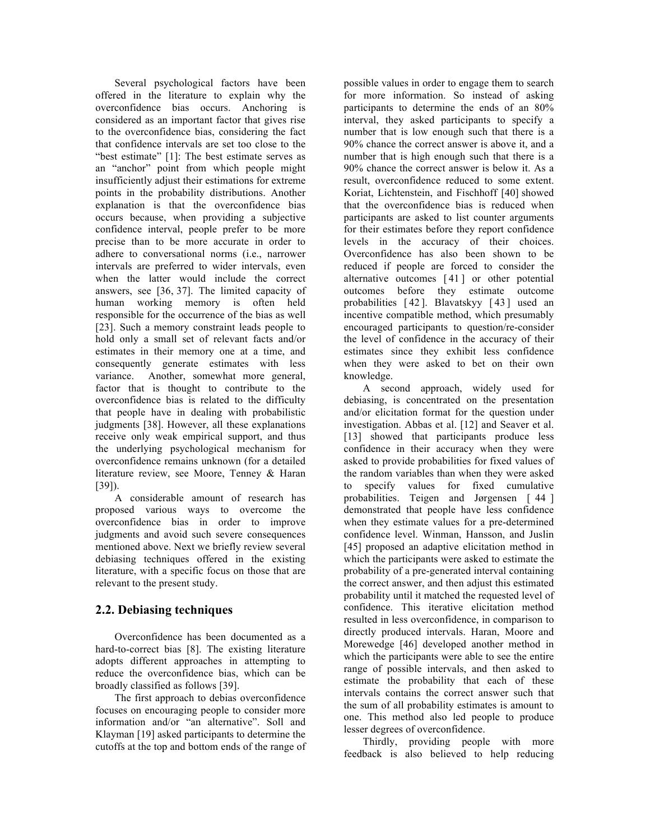Several psychological factors have been offered in the literature to explain why the overconfidence bias occurs. Anchoring is considered as an important factor that gives rise to the overconfidence bias, considering the fact that confidence intervals are set too close to the "best estimate" [1]: The best estimate serves as an "anchor" point from which people might insufficiently adjust their estimations for extreme points in the probability distributions. Another explanation is that the overconfidence bias occurs because, when providing a subjective confidence interval, people prefer to be more precise than to be more accurate in order to adhere to conversational norms (i.e., narrower intervals are preferred to wider intervals, even when the latter would include the correct answers, see [36, 37]. The limited capacity of human working memory is often held responsible for the occurrence of the bias as well [23]. Such a memory constraint leads people to hold only a small set of relevant facts and/or estimates in their memory one at a time, and consequently generate estimates with less variance. Another, somewhat more general, factor that is thought to contribute to the overconfidence bias is related to the difficulty that people have in dealing with probabilistic judgments [38]. However, all these explanations receive only weak empirical support, and thus the underlying psychological mechanism for overconfidence remains unknown (for a detailed literature review, see Moore, Tenney & Haran [39]).

A considerable amount of research has proposed various ways to overcome the overconfidence bias in order to improve judgments and avoid such severe consequences mentioned above. Next we briefly review several debiasing techniques offered in the existing literature, with a specific focus on those that are relevant to the present study.

# **2.2. Debiasing techniques**

Overconfidence has been documented as a hard-to-correct bias [8]. The existing literature adopts different approaches in attempting to reduce the overconfidence bias, which can be broadly classified as follows [39].

The first approach to debias overconfidence focuses on encouraging people to consider more information and/or "an alternative". Soll and Klayman [19] asked participants to determine the cutoffs at the top and bottom ends of the range of possible values in order to engage them to search for more information. So instead of asking participants to determine the ends of an 80% interval, they asked participants to specify a number that is low enough such that there is a 90% chance the correct answer is above it, and a number that is high enough such that there is a 90% chance the correct answer is below it. As a result, overconfidence reduced to some extent. Koriat, Lichtenstein, and Fischhoff [40] showed that the overconfidence bias is reduced when participants are asked to list counter arguments for their estimates before they report confidence levels in the accuracy of their choices. Overconfidence has also been shown to be reduced if people are forced to consider the alternative outcomes [ 41 ] or other potential outcomes before they estimate outcome probabilities [ 42 ]. Blavatskyy [ 43 ] used an incentive compatible method, which presumably encouraged participants to question/re-consider the level of confidence in the accuracy of their estimates since they exhibit less confidence when they were asked to bet on their own knowledge.

A second approach, widely used for debiasing, is concentrated on the presentation and/or elicitation format for the question under investigation. Abbas et al. [12] and Seaver et al. [13] showed that participants produce less confidence in their accuracy when they were asked to provide probabilities for fixed values of the random variables than when they were asked to specify values for fixed cumulative probabilities. Teigen and Jørgensen [ 44 ] demonstrated that people have less confidence when they estimate values for a pre-determined confidence level. Winman, Hansson, and Juslin [45] proposed an adaptive elicitation method in which the participants were asked to estimate the probability of a pre-generated interval containing the correct answer, and then adjust this estimated probability until it matched the requested level of confidence. This iterative elicitation method resulted in less overconfidence, in comparison to directly produced intervals. Haran, Moore and Morewedge [46] developed another method in which the participants were able to see the entire range of possible intervals, and then asked to estimate the probability that each of these intervals contains the correct answer such that the sum of all probability estimates is amount to one. This method also led people to produce lesser degrees of overconfidence.

Thirdly, providing people with more feedback is also believed to help reducing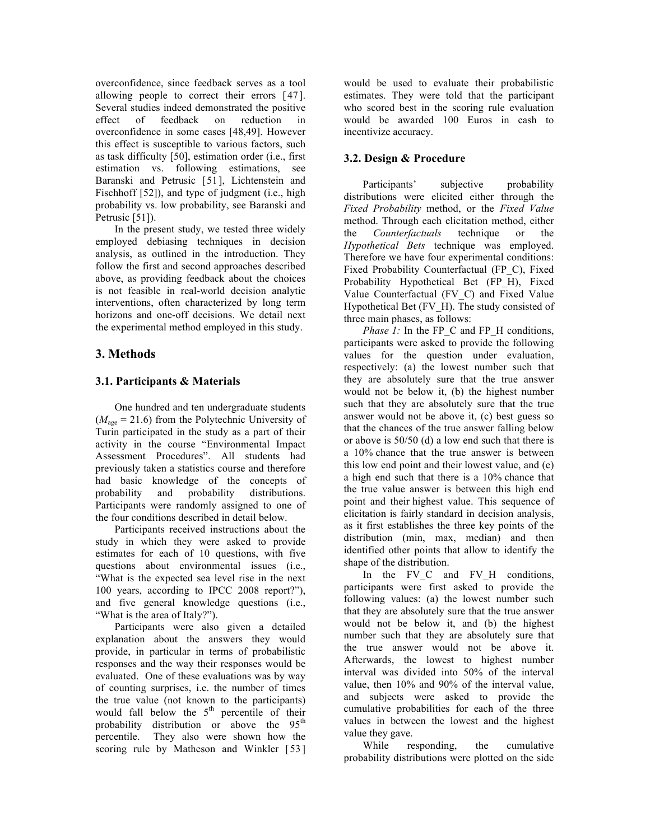overconfidence, since feedback serves as a tool allowing people to correct their errors [ 47 ]. Several studies indeed demonstrated the positive effect of feedback on reduction in overconfidence in some cases [48,49]. However this effect is susceptible to various factors, such as task difficulty [50], estimation order (i.e., first estimation vs. following estimations, see Baranski and Petrusic [51 ], Lichtenstein and Fischhoff [52]), and type of judgment (i.e., high probability vs. low probability, see Baranski and Petrusic [51]).

In the present study, we tested three widely employed debiasing techniques in decision analysis, as outlined in the introduction. They follow the first and second approaches described above, as providing feedback about the choices is not feasible in real-world decision analytic interventions, often characterized by long term horizons and one-off decisions. We detail next the experimental method employed in this study.

## **3. Methods**

#### **3.1. Participants & Materials**

One hundred and ten undergraduate students  $(M<sub>age</sub> = 21.6)$  from the Polytechnic University of Turin participated in the study as a part of their activity in the course "Environmental Impact Assessment Procedures". All students had previously taken a statistics course and therefore had basic knowledge of the concepts of probability and probability distributions. Participants were randomly assigned to one of the four conditions described in detail below.

Participants received instructions about the study in which they were asked to provide estimates for each of 10 questions, with five questions about environmental issues (i.e., "What is the expected sea level rise in the next 100 years, according to IPCC 2008 report?"), and five general knowledge questions (i.e., "What is the area of Italy?").

Participants were also given a detailed explanation about the answers they would provide, in particular in terms of probabilistic responses and the way their responses would be evaluated. One of these evaluations was by way of counting surprises, i.e. the number of times the true value (not known to the participants) would fall below the  $5<sup>th</sup>$  percentile of their probability distribution or above the 95<sup>th</sup> percentile. They also were shown how the scoring rule by Matheson and Winkler [53] would be used to evaluate their probabilistic estimates. They were told that the participant who scored best in the scoring rule evaluation would be awarded 100 Euros in cash to incentivize accuracy.

#### **3.2. Design & Procedure**

Participants' subjective probability distributions were elicited either through the *Fixed Probability* method, or the *Fixed Value* method. Through each elicitation method, either the *Counterfactuals* technique or the *Hypothetical Bets* technique was employed. Therefore we have four experimental conditions: Fixed Probability Counterfactual (FP\_C), Fixed Probability Hypothetical Bet (FP\_H), Fixed Value Counterfactual (FV\_C) and Fixed Value Hypothetical Bet (FV\_H). The study consisted of three main phases, as follows:

*Phase 1:* In the FP C and FP H conditions, participants were asked to provide the following values for the question under evaluation, respectively: (a) the lowest number such that they are absolutely sure that the true answer would not be below it, (b) the highest number such that they are absolutely sure that the true answer would not be above it, (c) best guess so that the chances of the true answer falling below or above is 50/50 (d) a low end such that there is a 10% chance that the true answer is between this low end point and their lowest value, and (e) a high end such that there is a 10% chance that the true value answer is between this high end point and their highest value. This sequence of elicitation is fairly standard in decision analysis, as it first establishes the three key points of the distribution (min, max, median) and then identified other points that allow to identify the shape of the distribution.

In the FV<sub>C</sub> and FV<sub>H</sub> conditions, participants were first asked to provide the following values: (a) the lowest number such that they are absolutely sure that the true answer would not be below it, and (b) the highest number such that they are absolutely sure that the true answer would not be above it. Afterwards, the lowest to highest number interval was divided into 50% of the interval value, then 10% and 90% of the interval value, and subjects were asked to provide the cumulative probabilities for each of the three values in between the lowest and the highest value they gave.

While responding, the cumulative probability distributions were plotted on the side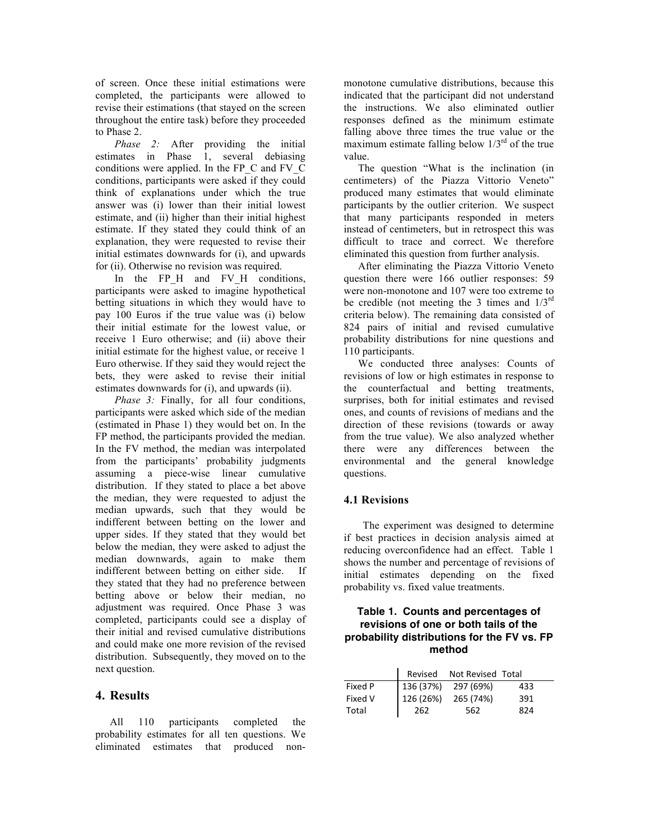of screen. Once these initial estimations were completed, the participants were allowed to revise their estimations (that stayed on the screen throughout the entire task) before they proceeded to Phase 2.

*Phase 2:* After providing the initial estimates in Phase 1, several debiasing conditions were applied. In the FP\_C and FV\_C conditions, participants were asked if they could think of explanations under which the true answer was (i) lower than their initial lowest estimate, and (ii) higher than their initial highest estimate. If they stated they could think of an explanation, they were requested to revise their initial estimates downwards for (i), and upwards for (ii). Otherwise no revision was required.

In the FP H and FV H conditions, participants were asked to imagine hypothetical betting situations in which they would have to pay 100 Euros if the true value was (i) below their initial estimate for the lowest value, or receive 1 Euro otherwise; and (ii) above their initial estimate for the highest value, or receive 1 Euro otherwise. If they said they would reject the bets, they were asked to revise their initial estimates downwards for (i), and upwards (ii).

*Phase 3:* Finally, for all four conditions, participants were asked which side of the median (estimated in Phase 1) they would bet on. In the FP method, the participants provided the median. In the FV method, the median was interpolated from the participants' probability judgments assuming a piece-wise linear cumulative distribution. If they stated to place a bet above the median, they were requested to adjust the median upwards, such that they would be indifferent between betting on the lower and upper sides. If they stated that they would bet below the median, they were asked to adjust the median downwards, again to make them indifferent between betting on either side. If they stated that they had no preference between betting above or below their median, no adjustment was required. Once Phase 3 was completed, participants could see a display of their initial and revised cumulative distributions and could make one more revision of the revised distribution. Subsequently, they moved on to the next question.

#### **4. Results**

All 110 participants completed the probability estimates for all ten questions. We eliminated estimates that produced nonmonotone cumulative distributions, because this indicated that the participant did not understand the instructions. We also eliminated outlier responses defined as the minimum estimate falling above three times the true value or the maximum estimate falling below  $1/3<sup>rd</sup>$  of the true value.

The question "What is the inclination (in centimeters) of the Piazza Vittorio Veneto" produced many estimates that would eliminate participants by the outlier criterion. We suspect that many participants responded in meters instead of centimeters, but in retrospect this was difficult to trace and correct. We therefore eliminated this question from further analysis.

After eliminating the Piazza Vittorio Veneto question there were 166 outlier responses: 59 were non-monotone and 107 were too extreme to be credible (not meeting the 3 times and  $1/3^{rd}$ criteria below). The remaining data consisted of 824 pairs of initial and revised cumulative probability distributions for nine questions and 110 participants.

We conducted three analyses: Counts of revisions of low or high estimates in response to the counterfactual and betting treatments, surprises, both for initial estimates and revised ones, and counts of revisions of medians and the direction of these revisions (towards or away from the true value). We also analyzed whether there were any differences between the environmental and the general knowledge questions.

#### **4.1 Revisions**

The experiment was designed to determine if best practices in decision analysis aimed at reducing overconfidence had an effect. Table 1 shows the number and percentage of revisions of initial estimates depending on the fixed probability vs. fixed value treatments.

#### **Table 1. Counts and percentages of revisions of one or both tails of the probability distributions for the FV vs. FP method**

|         |      | Revised Not Revised Total                  |     |
|---------|------|--------------------------------------------|-----|
| Fixed P |      |                                            | 433 |
| Fixed V |      | 136 (37%) 297 (69%)<br>126 (26%) 265 (74%) | 391 |
| Total   | 262. | 562.                                       | 824 |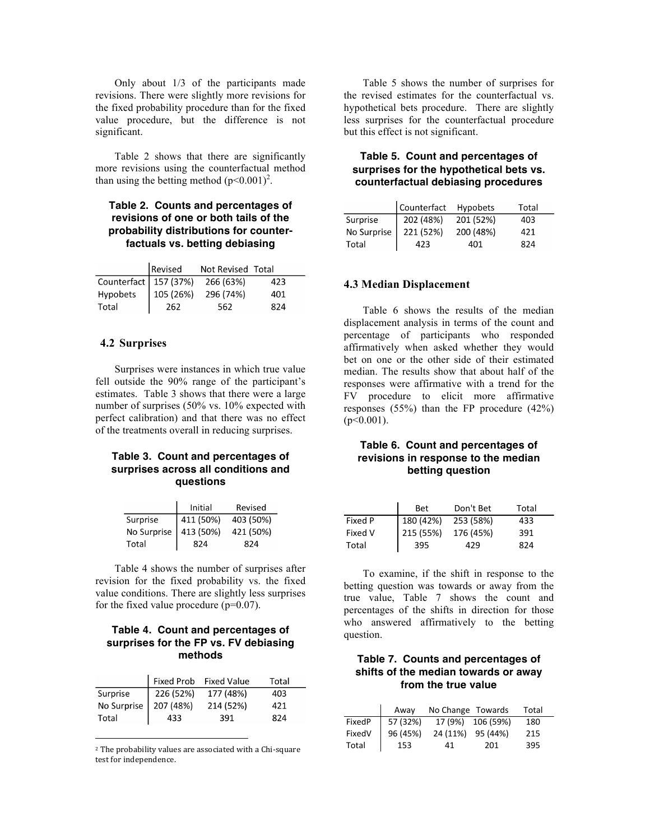Only about 1/3 of the participants made revisions. There were slightly more revisions for the fixed probability procedure than for the fixed value procedure, but the difference is not significant.

Table 2 shows that there are significantly more revisions using the counterfactual method than using the betting method  $(p<0.001)^2$ .

#### **Table 2. Counts and percentages of revisions of one or both tails of the probability distributions for counterfactuals vs. betting debiasing**

|                         | Revised   | Not Revised Total |     |
|-------------------------|-----------|-------------------|-----|
| Counterfact   157 (37%) |           | 266 (63%)         | 423 |
| Hypobets                | 105 (26%) | 296 (74%)         | 401 |
| Total                   | 262       | 562               | 824 |

#### **4.2 Surprises**

Surprises were instances in which true value fell outside the 90% range of the participant's estimates. Table 3 shows that there were a large number of surprises (50% vs. 10% expected with perfect calibration) and that there was no effect of the treatments overall in reducing surprises.

#### **Table 3. Count and percentages of surprises across all conditions and questions**

|                                             | Initial | Revised   |
|---------------------------------------------|---------|-----------|
| Surprise 411 (50%)<br>No Surprise 413 (50%) |         | 403 (50%) |
|                                             |         | 421 (50%) |
| Total                                       | 824     | 824       |

Table 4 shows the number of surprises after revision for the fixed probability vs. the fixed value conditions. There are slightly less surprises for the fixed value procedure  $(p=0.07)$ .

#### **Table 4. Count and percentages of surprises for the FP vs. FV debiasing methods**

|                                                          | Fixed Prob Fixed Value |           | Total |
|----------------------------------------------------------|------------------------|-----------|-------|
| Surprise 226 (52%)<br>No Surprise 207 (48%)<br>Total 433 |                        | 177 (48%) | 403   |
|                                                          |                        | 214(52%)  | 421   |
|                                                          |                        | 391       | 824   |

<sup>2</sup> The probability values are associated with a Chi-square test for independence.

 

Table 5 shows the number of surprises for the revised estimates for the counterfactual vs. hypothetical bets procedure. There are slightly less surprises for the counterfactual procedure but this effect is not significant.

#### **Table 5. Count and percentages of surprises for the hypothetical bets vs. counterfactual debiasing procedures**

|             | Counterfact | Hypobets  | Total |
|-------------|-------------|-----------|-------|
| Surprise    | 202 (48%)   | 201 (52%) | 403   |
| No Surprise | 221 (52%)   | 200 (48%) | 421   |
| Total       | 423         | 401       | 824   |

#### **4.3 Median Displacement**

Table 6 shows the results of the median displacement analysis in terms of the count and percentage of participants who responded affirmatively when asked whether they would bet on one or the other side of their estimated median. The results show that about half of the responses were affirmative with a trend for the FV procedure to elicit more affirmative responses (55%) than the FP procedure (42%)  $(p<0.001)$ .

#### **Table 6. Count and percentages of revisions in response to the median betting question**

|         | <b>Bet</b>             | Don't Bet | Total |
|---------|------------------------|-----------|-------|
| Fixed P |                        | 253 (58%) | 433   |
| Fixed V | 180 (42%)<br>215 (55%) | 176 (45%) | 391   |
| Total   | 395                    | 429       | 824   |

To examine, if the shift in response to the betting question was towards or away from the true value, Table 7 shows the count and percentages of the shifts in direction for those who answered affirmatively to the betting question.

#### **Table 7. Counts and percentages of shifts of the median towards or away from the true value**

|        | Away     | No Change Towards |                   | Total |
|--------|----------|-------------------|-------------------|-------|
| FixedP | 57 (32%) |                   | 17 (9%) 106 (59%) | 180   |
| FixedV | 96 (45%) |                   | 24 (11%) 95 (44%) | 215   |
| Total  | 153      | 41                | 201               | 395   |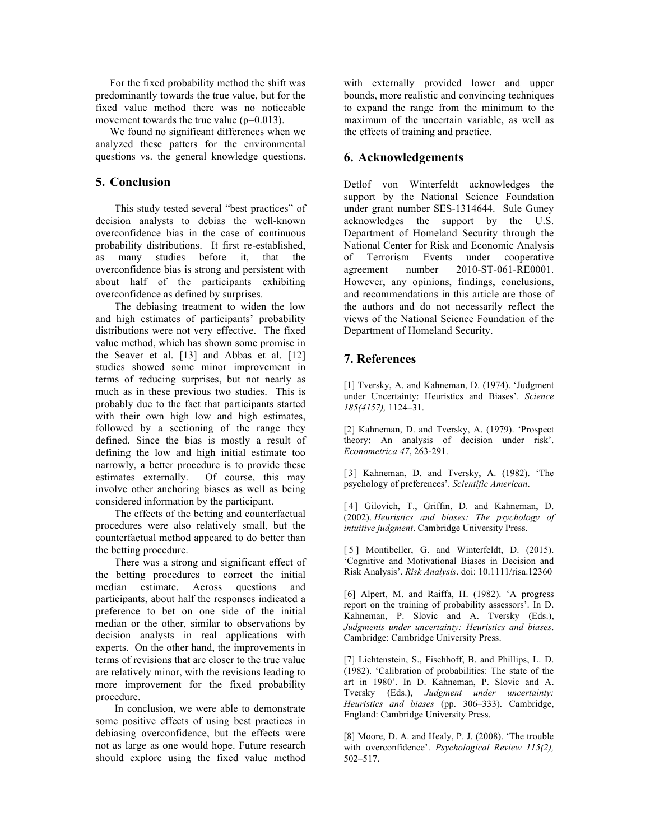For the fixed probability method the shift was predominantly towards the true value, but for the fixed value method there was no noticeable movement towards the true value (p=0.013).

We found no significant differences when we analyzed these patters for the environmental questions vs. the general knowledge questions.

## **5. Conclusion**

This study tested several "best practices" of decision analysts to debias the well-known overconfidence bias in the case of continuous probability distributions. It first re-established, as many studies before it, that the overconfidence bias is strong and persistent with about half of the participants exhibiting overconfidence as defined by surprises.

The debiasing treatment to widen the low and high estimates of participants' probability distributions were not very effective. The fixed value method, which has shown some promise in the Seaver et al. [13] and Abbas et al. [12] studies showed some minor improvement in terms of reducing surprises, but not nearly as much as in these previous two studies. This is probably due to the fact that participants started with their own high low and high estimates, followed by a sectioning of the range they defined. Since the bias is mostly a result of defining the low and high initial estimate too narrowly, a better procedure is to provide these estimates externally. Of course, this may involve other anchoring biases as well as being considered information by the participant.

The effects of the betting and counterfactual procedures were also relatively small, but the counterfactual method appeared to do better than the betting procedure.

There was a strong and significant effect of the betting procedures to correct the initial median estimate. Across questions and participants, about half the responses indicated a preference to bet on one side of the initial median or the other, similar to observations by decision analysts in real applications with experts. On the other hand, the improvements in terms of revisions that are closer to the true value are relatively minor, with the revisions leading to more improvement for the fixed probability procedure.

In conclusion, we were able to demonstrate some positive effects of using best practices in debiasing overconfidence, but the effects were not as large as one would hope. Future research should explore using the fixed value method

with externally provided lower and upper bounds, more realistic and convincing techniques to expand the range from the minimum to the maximum of the uncertain variable, as well as the effects of training and practice.

### **6. Acknowledgements**

Detlof von Winterfeldt acknowledges the support by the National Science Foundation under grant number SES-1314644. Sule Guney acknowledges the support by the U.S. Department of Homeland Security through the National Center for Risk and Economic Analysis of Terrorism Events under cooperative agreement number 2010-ST-061-RE0001. However, any opinions, findings, conclusions, and recommendations in this article are those of the authors and do not necessarily reflect the views of the National Science Foundation of the Department of Homeland Security.

# **7. References**

[1] Tversky, A. and Kahneman, D. (1974). 'Judgment under Uncertainty: Heuristics and Biases'. *Science 185(4157),* 1124–31.

[2] Kahneman, D. and Tversky, A. (1979). 'Prospect theory: An analysis of decision under risk'. *Econometrica 47*, 263-291.

[3] Kahneman, D. and Tversky, A. (1982). 'The psychology of preferences'. *Scientific American*.

[4] Gilovich, T., Griffin, D. and Kahneman, D. (2002). *Heuristics and biases: The psychology of intuitive judgment*. Cambridge University Press.

[5] Montibeller, G. and Winterfeldt, D. (2015). 'Cognitive and Motivational Biases in Decision and Risk Analysis'. *Risk Analysis*. doi: 10.1111/risa.12360

[6] Alpert, M. and Raiffa, H. (1982). 'A progress report on the training of probability assessors'. In D. Kahneman, P. Slovic and A. Tversky (Eds.), *Judgments under uncertainty: Heuristics and biases*. Cambridge: Cambridge University Press.

[7] Lichtenstein, S., Fischhoff, B. and Phillips, L. D. (1982). 'Calibration of probabilities: The state of the art in 1980'. In D. Kahneman, P. Slovic and A. Tversky (Eds.), *Judgment under uncertainty: Heuristics and biases* (pp. 306–333). Cambridge, England: Cambridge University Press.

[8] Moore, D. A. and Healy, P. J. (2008). 'The trouble with overconfidence'. *Psychological Review 115(2),*  502–517.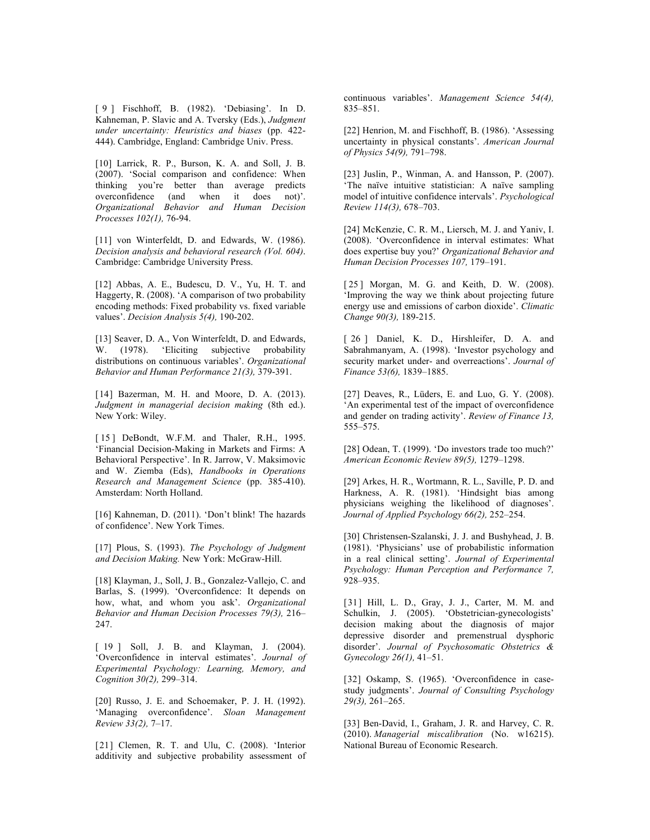[ 9 ] Fischhoff, B. (1982). 'Debiasing'. In D. Kahneman, P. Slavic and A. Tversky (Eds.), *Judgment under uncertainty: Heuristics and biases* (pp. 422- 444). Cambridge, England: Cambridge Univ. Press.

[10] Larrick, R. P., Burson, K. A. and Soll, J. B. (2007). 'Social comparison and confidence: When thinking you're better than average predicts overconfidence (and when it does not)'. *Organizational Behavior and Human Decision Processes 102(1),* 76-94.

[11] von Winterfeldt, D. and Edwards, W. (1986). *Decision analysis and behavioral research (Vol. 604)*. Cambridge: Cambridge University Press.

[12] Abbas, A. E., Budescu, D. V., Yu, H. T. and Haggerty, R. (2008). 'A comparison of two probability encoding methods: Fixed probability vs. fixed variable values'. *Decision Analysis 5(4),* 190-202.

[13] Seaver, D. A., Von Winterfeldt, D. and Edwards, W. (1978). 'Eliciting subjective probability distributions on continuous variables'. *Organizational Behavior and Human Performance 21(3),* 379-391.

[14] Bazerman, M. H. and Moore, D. A. (2013). *Judgment in managerial decision making* (8th ed.). New York: Wiley.

[ 15 ] DeBondt, W.F.M. and Thaler, R.H., 1995. 'Financial Decision-Making in Markets and Firms: A Behavioral Perspective'. In R. Jarrow, V. Maksimovic and W. Ziemba (Eds), *Handbooks in Operations Research and Management Science* (pp. 385-410). Amsterdam: North Holland.

[16] Kahneman, D. (2011). 'Don't blink! The hazards of confidence'. New York Times.

[17] Plous, S. (1993). *The Psychology of Judgment and Decision Making.* New York: McGraw-Hill.

[18] Klayman, J., Soll, J. B., Gonzalez-Vallejo, C. and Barlas, S. (1999). 'Overconfidence: It depends on how, what, and whom you ask'. *Organizational Behavior and Human Decision Processes 79(3),* 216– 247.

[ 19 ] Soll, J. B. and Klayman, J. (2004). 'Overconfidence in interval estimates'. *Journal of Experimental Psychology: Learning, Memory, and Cognition 30(2),* 299–314.

[20] Russo, J. E. and Schoemaker, P. J. H. (1992). 'Managing overconfidence'. *Sloan Management Review 33(2),* 7–17.

[21] Clemen, R. T. and Ulu, C. (2008). 'Interior additivity and subjective probability assessment of continuous variables'. *Management Science 54(4),* 835–851.

[22] Henrion, M. and Fischhoff, B. (1986). 'Assessing uncertainty in physical constants'. *American Journal of Physics 54(9),* 791–798.

[23] Juslin, P., Winman, A. and Hansson, P. (2007). 'The naïve intuitive statistician: A naïve sampling model of intuitive confidence intervals'. *Psychological Review 114(3),* 678–703.

[24] McKenzie, C. R. M., Liersch, M. J. and Yaniv, I. (2008). 'Overconfidence in interval estimates: What does expertise buy you?' *Organizational Behavior and Human Decision Processes 107,* 179–191.

[ 25 ] Morgan, M. G. and Keith, D. W. (2008). 'Improving the way we think about projecting future energy use and emissions of carbon dioxide'. *Climatic Change 90(3),* 189-215.

[ 26 ] Daniel, K. D., Hirshleifer, D. A. and Sabrahmanyam, A. (1998). 'Investor psychology and security market under- and overreactions'. *Journal of Finance 53(6),* 1839–1885.

[27] Deaves, R., Lüders, E. and Luo, G. Y. (2008). 'An experimental test of the impact of overconfidence and gender on trading activity'. *Review of Finance 13,* 555–575.

[28] Odean, T. (1999). 'Do investors trade too much?' *American Economic Review 89(5),* 1279–1298.

[29] Arkes, H. R., Wortmann, R. L., Saville, P. D. and Harkness, A. R. (1981). 'Hindsight bias among physicians weighing the likelihood of diagnoses'. *Journal of Applied Psychology 66(2),* 252–254.

[30] Christensen-Szalanski, J. J. and Bushyhead, J. B. (1981). 'Physicians' use of probabilistic information in a real clinical setting'. *Journal of Experimental Psychology: Human Perception and Performance 7,* 928–935.

[31] Hill, L. D., Gray, J. J., Carter, M. M. and Schulkin, J. (2005). 'Obstetrician-gynecologists' decision making about the diagnosis of major depressive disorder and premenstrual dysphoric disorder'. *Journal of Psychosomatic Obstetrics & Gynecology 26(1),* 41–51.

[32] Oskamp, S. (1965). 'Overconfidence in casestudy judgments'. *Journal of Consulting Psychology 29(3),* 261–265.

[33] Ben-David, I., Graham, J. R. and Harvey, C. R. (2010). *Managerial miscalibration* (No. w16215). National Bureau of Economic Research.